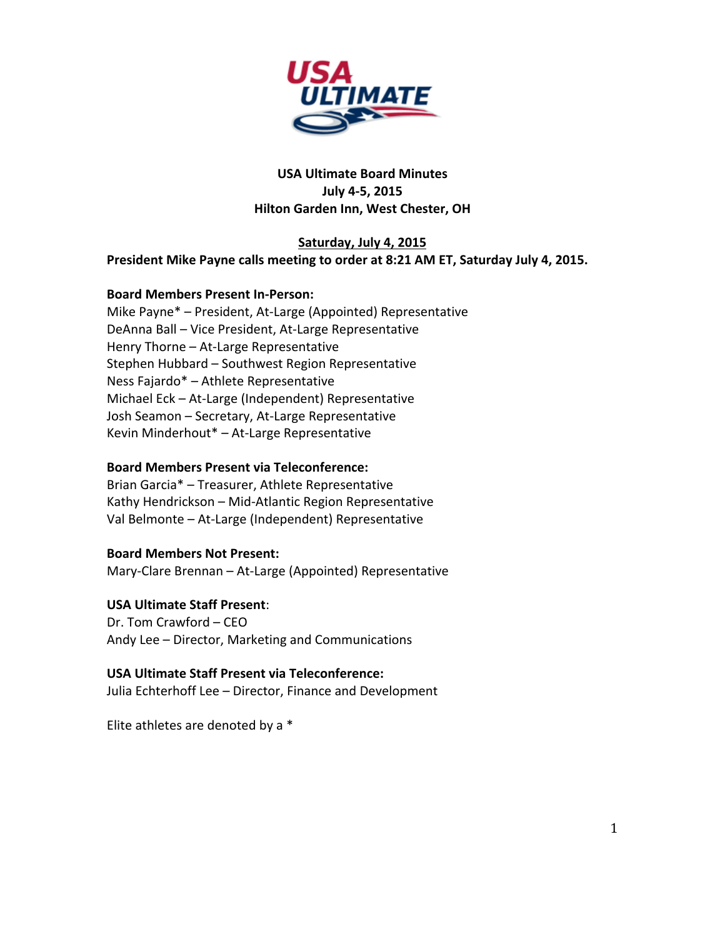

# **USA Ultimate Board Minutes July 4-5, 2015 Hilton Garden Inn, West Chester, OH**

## Saturday, July 4, 2015 President Mike Payne calls meeting to order at 8:21 AM ET, Saturday July 4, 2015.

## **Board Members Present In-Person:**

Mike Payne\* - President, At-Large (Appointed) Representative DeAnna Ball - Vice President, At-Large Representative Henry Thorne - At-Large Representative Stephen Hubbard - Southwest Region Representative Ness Fajardo\* - Athlete Representative Michael Eck - At-Large (Independent) Representative Josh Seamon - Secretary, At-Large Representative Kevin Minderhout\* - At-Large Representative

## **Board Members Present via Teleconference:**

Brian Garcia\* - Treasurer, Athlete Representative Kathy Hendrickson - Mid-Atlantic Region Representative Val Belmonte - At-Large (Independent) Representative

**Board Members Not Present:** Mary-Clare Brennan - At-Large (Appointed) Representative

## **USA Ultimate Staff Present**:

Dr. Tom Crawford – CEO Andy Lee – Director, Marketing and Communications

**USA Ultimate Staff Present via Teleconference:** Julia Echterhoff Lee - Director, Finance and Development

Elite athletes are denoted by a  $*$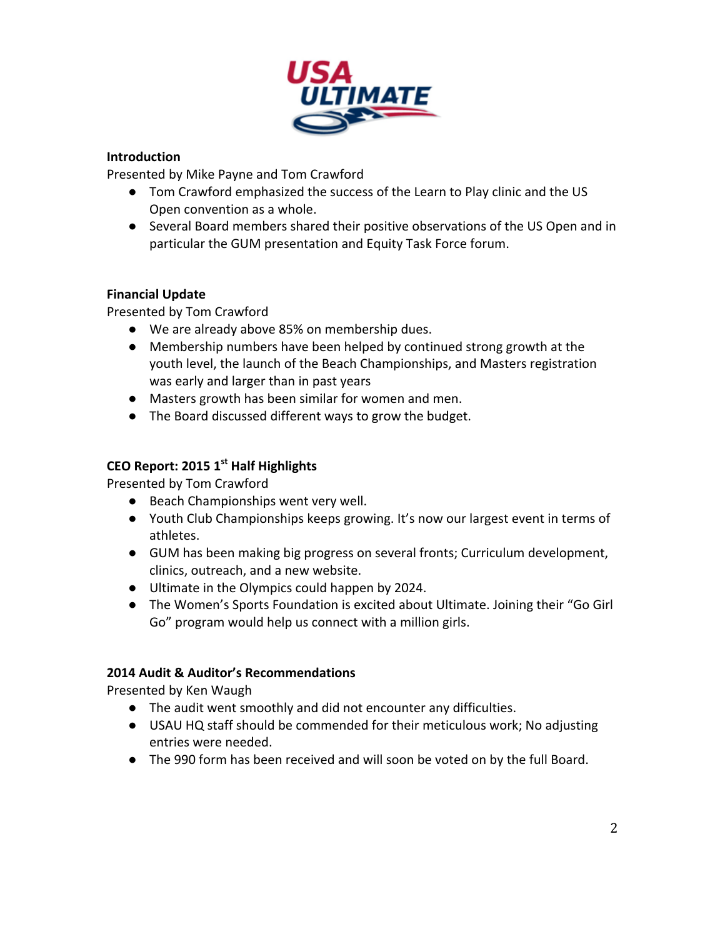

# **Introduction**

Presented by Mike Payne and Tom Crawford

- Tom Crawford emphasized the success of the Learn to Play clinic and the US Open convention as a whole.
- Several Board members shared their positive observations of the US Open and in particular the GUM presentation and Equity Task Force forum.

## **Financial Update**

Presented by Tom Crawford

- We are already above 85% on membership dues.
- Membership numbers have been helped by continued strong growth at the youth level, the launch of the Beach Championships, and Masters registration was early and larger than in past years
- Masters growth has been similar for women and men.
- The Board discussed different ways to grow the budget.

# **CEO Report: 2015 1st** Half Highlights

Presented by Tom Crawford

- Beach Championships went very well.
- Youth Club Championships keeps growing. It's now our largest event in terms of athletes.
- GUM has been making big progress on several fronts; Curriculum development, clinics, outreach, and a new website.
- Ultimate in the Olympics could happen by 2024.
- The Women's Sports Foundation is excited about Ultimate. Joining their "Go Girl Go" program would help us connect with a million girls.

## **2014 Audit & Auditor's Recommendations**

Presented by Ken Waugh

- The audit went smoothly and did not encounter any difficulties.
- USAU HQ staff should be commended for their meticulous work; No adjusting entries were needed.
- The 990 form has been received and will soon be voted on by the full Board.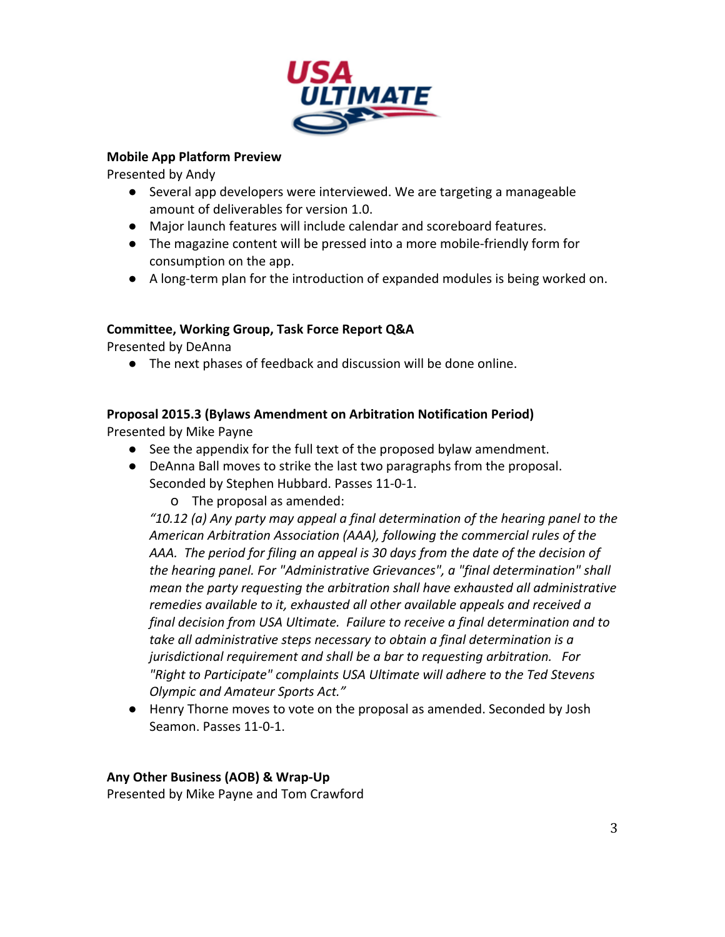

## **Mobile App Platform Preview**

Presented by Andy

- Several app developers were interviewed. We are targeting a manageable amount of deliverables for version 1.0.
- Major launch features will include calendar and scoreboard features.
- The magazine content will be pressed into a more mobile-friendly form for consumption on the app.
- A long-term plan for the introduction of expanded modules is being worked on.

# **Committee, Working Group, Task Force Report Q&A**

Presented by DeAnna

 $\bullet$  The next phases of feedback and discussion will be done online.

# **Proposal 2015.3 (Bylaws Amendment on Arbitration Notification Period)**

Presented by Mike Payne

- See the appendix for the full text of the proposed bylaw amendment.
- DeAnna Ball moves to strike the last two paragraphs from the proposal. Seconded by Stephen Hubbard. Passes 11-0-1.

o The proposal as amended:

*"10.12 (a) Any party may appeal a final determination of the hearing panel to the*  American Arbitration Association (AAA), following the commercial rules of the AAA. The period for filing an appeal is 30 days from the date of the decision of *the hearing panel. For "Administrative Grievances", a "final determination" shall mean the party requesting the arbitration shall have exhausted all administrative remedies available to it, exhausted all other available appeals and received a final decision from USA Ultimate. Failure to receive a final determination and to take all administrative steps necessary to obtain a final determination is a jurisdictional requirement and shall be a bar to requesting arbitration. For "Right to Participate"* complaints USA Ultimate will adhere to the Ted Stevens *Olympic and Amateur Sports Act."* 

● Henry Thorne moves to vote on the proposal as amended. Seconded by Josh Seamon. Passes 11-0-1.

# Any Other Business (AOB) & Wrap-Up

Presented by Mike Payne and Tom Crawford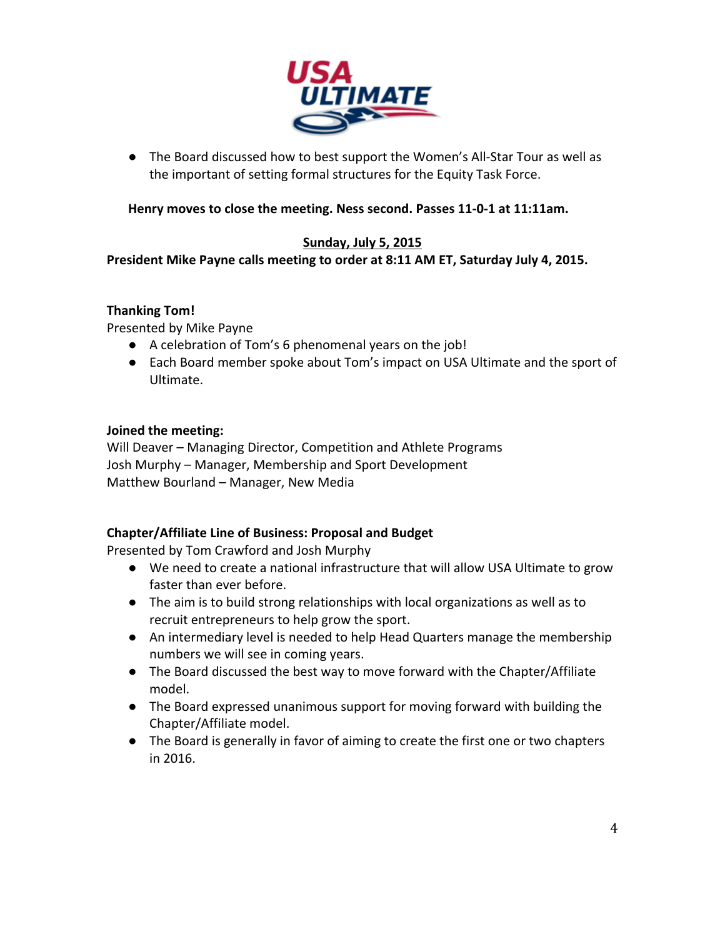

• The Board discussed how to best support the Women's All-Star Tour as well as the important of setting formal structures for the Equity Task Force.

Henry moves to close the meeting. Ness second. Passes 11-0-1 at 11:11am.

## **Sunday, July 5, 2015**

President Mike Payne calls meeting to order at 8:11 AM ET, Saturday July 4, 2015.

## **Thanking Tom!**

Presented by Mike Payne

- A celebration of Tom's 6 phenomenal years on the job!
- Each Board member spoke about Tom's impact on USA Ultimate and the sport of Ultimate.

## **Joined the meeting:**

Will Deaver - Managing Director, Competition and Athlete Programs Josh Murphy – Manager, Membership and Sport Development Matthew Bourland - Manager, New Media

# **Chapter/Affiliate Line of Business: Proposal and Budget**

Presented by Tom Crawford and Josh Murphy

- We need to create a national infrastructure that will allow USA Ultimate to grow faster than ever before.
- The aim is to build strong relationships with local organizations as well as to recruit entrepreneurs to help grow the sport.
- An intermediary level is needed to help Head Quarters manage the membership numbers we will see in coming years.
- The Board discussed the best way to move forward with the Chapter/Affiliate model.
- The Board expressed unanimous support for moving forward with building the Chapter/Affiliate model.
- The Board is generally in favor of aiming to create the first one or two chapters in 2016.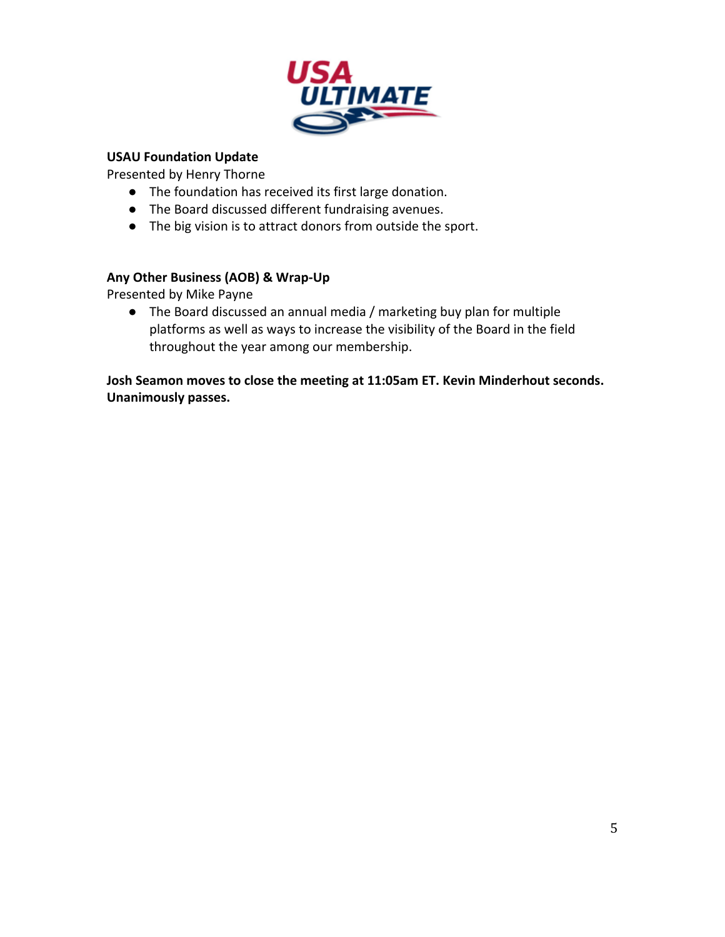

# **USAU Foundation Update**

Presented by Henry Thorne

- The foundation has received its first large donation.
- The Board discussed different fundraising avenues.
- The big vision is to attract donors from outside the sport.

## Any Other Business (AOB) & Wrap-Up

Presented by Mike Payne

• The Board discussed an annual media / marketing buy plan for multiple platforms as well as ways to increase the visibility of the Board in the field throughout the year among our membership.

**Josh Seamon moves to close the meeting at 11:05am ET. Kevin Minderhout seconds. Unanimously passes.**